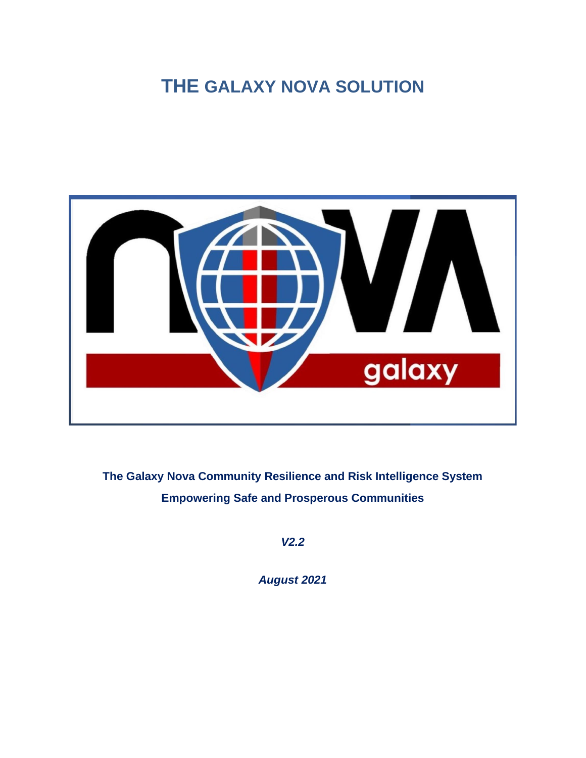# **THE GALAXY NOVA SOLUTION**



**The Galaxy Nova Community Resilience and Risk Intelligence System Empowering Safe and Prosperous Communities**

*V2.2*

*August 2021*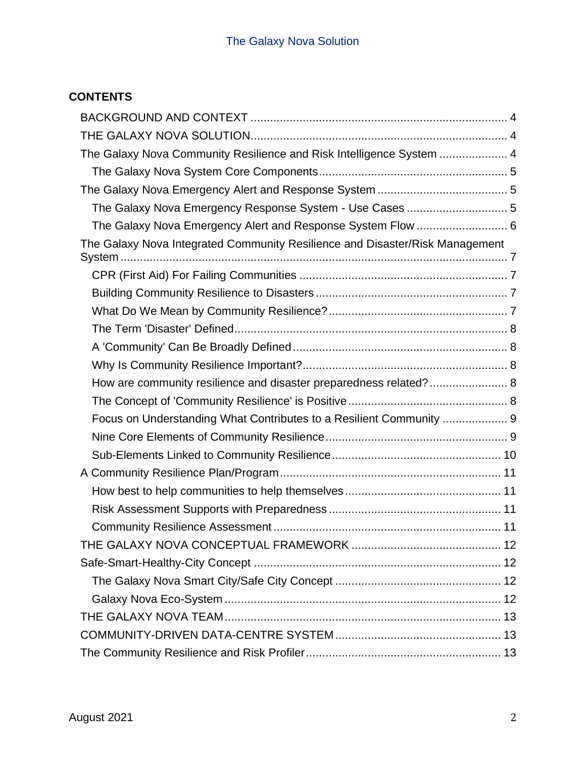# **CONTENTS**

| The Galaxy Nova Community Resilience and Risk Intelligence System  4         |
|------------------------------------------------------------------------------|
|                                                                              |
|                                                                              |
| The Galaxy Nova Emergency Response System - Use Cases  5                     |
| The Galaxy Nova Emergency Alert and Response System Flow  6                  |
| The Galaxy Nova Integrated Community Resilience and Disaster/Risk Management |
|                                                                              |
|                                                                              |
|                                                                              |
|                                                                              |
|                                                                              |
|                                                                              |
| How are community resilience and disaster preparedness related? 8            |
|                                                                              |
| Focus on Understanding What Contributes to a Resilient Community  9          |
|                                                                              |
|                                                                              |
|                                                                              |
|                                                                              |
|                                                                              |
|                                                                              |
|                                                                              |
|                                                                              |
|                                                                              |
|                                                                              |
|                                                                              |
|                                                                              |
|                                                                              |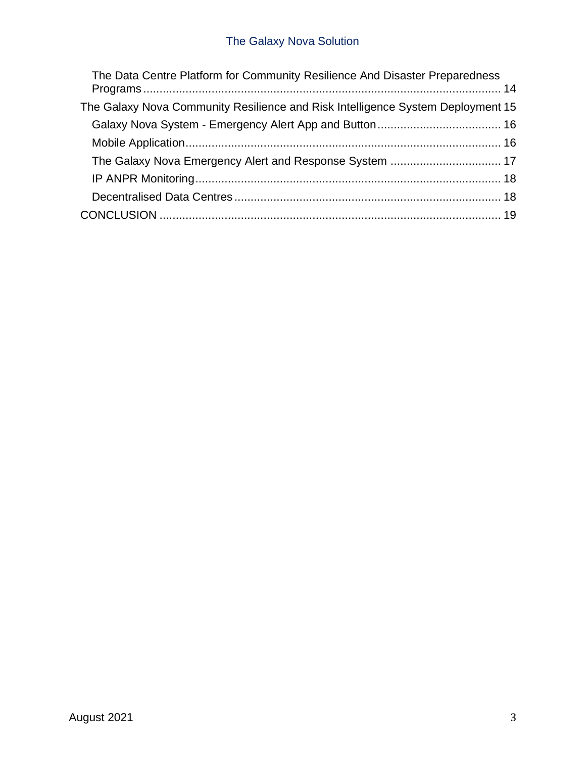# The Galaxy Nova Solution

| The Data Centre Platform for Community Resilience And Disaster Preparedness     |  |
|---------------------------------------------------------------------------------|--|
| The Galaxy Nova Community Resilience and Risk Intelligence System Deployment 15 |  |
|                                                                                 |  |
|                                                                                 |  |
|                                                                                 |  |
|                                                                                 |  |
|                                                                                 |  |
|                                                                                 |  |
|                                                                                 |  |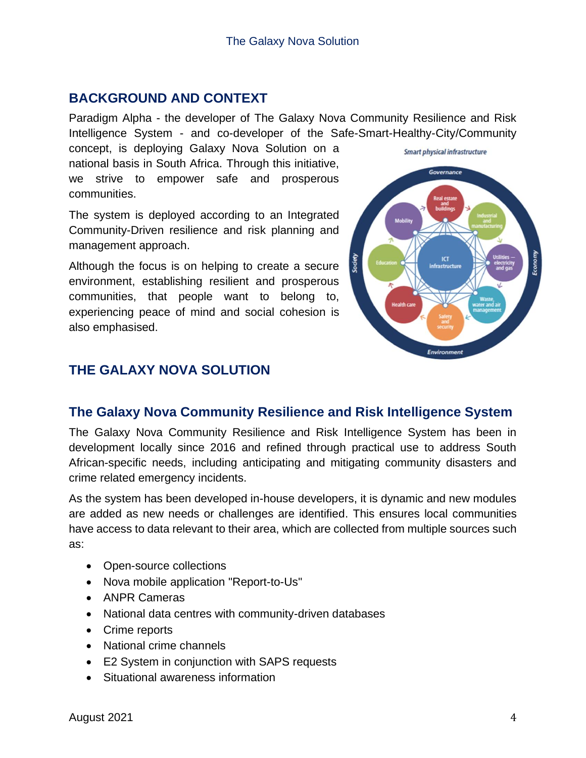# <span id="page-3-0"></span>**BACKGROUND AND CONTEXT**

Paradigm Alpha - the developer of The Galaxy Nova Community Resilience and Risk Intelligence System - and co-developer of the Safe-Smart-Healthy-City/Community

concept, is deploying Galaxy Nova Solution on a national basis in South Africa. Through this initiative, we strive to empower safe and prosperous communities.

The system is deployed according to an Integrated Community-Driven resilience and risk planning and management approach.

Although the focus is on helping to create a secure environment, establishing resilient and prosperous communities, that people want to belong to, experiencing peace of mind and social cohesion is also emphasised.



# <span id="page-3-1"></span>**THE GALAXY NOVA SOLUTION**

# <span id="page-3-2"></span>**The Galaxy Nova Community Resilience and Risk Intelligence System**

The Galaxy Nova Community Resilience and Risk Intelligence System has been in development locally since 2016 and refined through practical use to address South African-specific needs, including anticipating and mitigating community disasters and crime related emergency incidents.

As the system has been developed in-house developers, it is dynamic and new modules are added as new needs or challenges are identified. This ensures local communities have access to data relevant to their area, which are collected from multiple sources such as:

- Open-source collections
- Nova mobile application "Report-to-Us"
- ANPR Cameras
- National data centres with community-driven databases
- Crime reports
- National crime channels
- E2 System in conjunction with SAPS requests
- Situational awareness information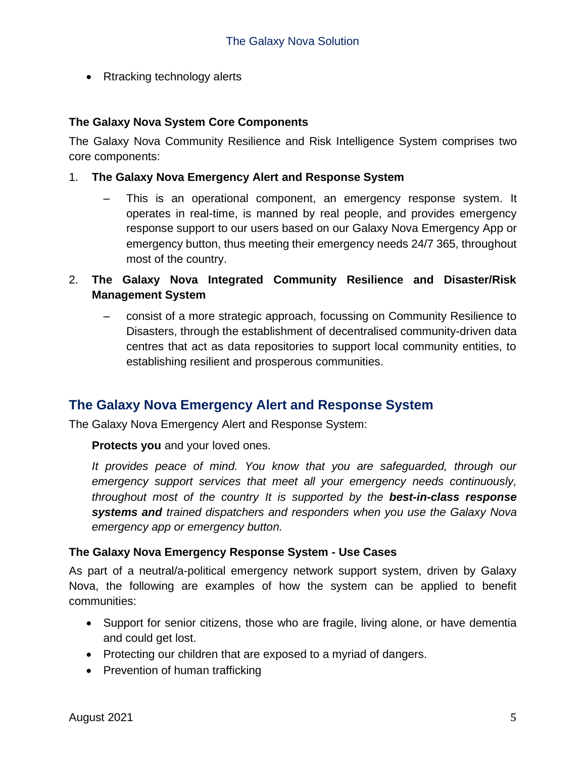• Rtracking technology alerts

#### <span id="page-4-0"></span>**The Galaxy Nova System Core Components**

The Galaxy Nova Community Resilience and Risk Intelligence System comprises two core components:

#### 1. **The Galaxy Nova Emergency Alert and Response System**

- This is an operational component, an emergency response system. It operates in real-time, is manned by real people, and provides emergency response support to our users based on our Galaxy Nova Emergency App or emergency button, thus meeting their emergency needs 24/7 365, throughout most of the country.
- 2. **The Galaxy Nova Integrated Community Resilience and Disaster/Risk Management System**
	- consist of a more strategic approach, focussing on Community Resilience to Disasters, through the establishment of decentralised community-driven data centres that act as data repositories to support local community entities, to establishing resilient and prosperous communities.

# <span id="page-4-1"></span>**The Galaxy Nova Emergency Alert and Response System**

The Galaxy Nova Emergency Alert and Response System:

**Protects you** and your loved ones.

*It provides peace of mind. You know that you are safeguarded, through our emergency support services that meet all your emergency needs continuously, throughout most of the country It is supported by the best-in-class response systems and trained dispatchers and responders when you use the Galaxy Nova emergency app or emergency button.*

#### <span id="page-4-2"></span>**The Galaxy Nova Emergency Response System - Use Cases**

As part of a neutral/a-political emergency network support system, driven by Galaxy Nova, the following are examples of how the system can be applied to benefit communities:

- Support for senior citizens, those who are fragile, living alone, or have dementia and could get lost.
- Protecting our children that are exposed to a myriad of dangers.
- Prevention of human trafficking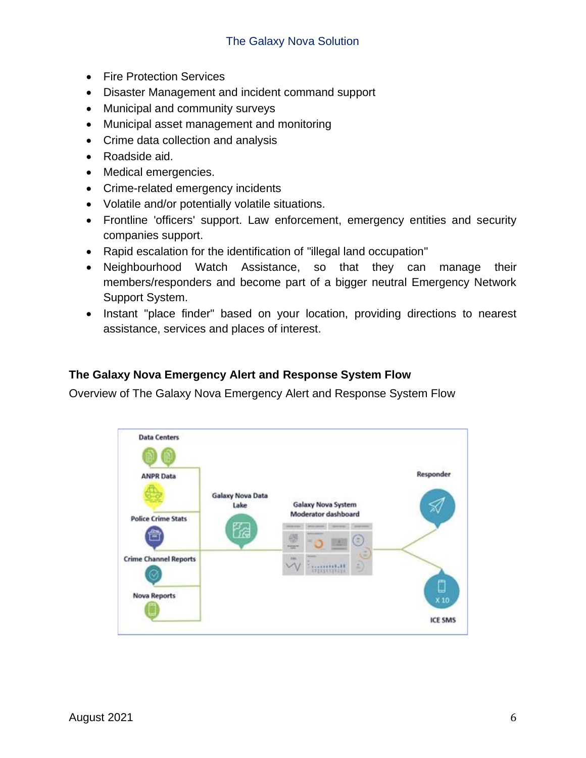- Fire Protection Services
- Disaster Management and incident command support
- Municipal and community surveys
- Municipal asset management and monitoring
- Crime data collection and analysis
- Roadside aid.
- Medical emergencies.
- Crime-related emergency incidents
- Volatile and/or potentially volatile situations.
- Frontline 'officers' support. Law enforcement, emergency entities and security companies support.
- Rapid escalation for the identification of "illegal land occupation"
- Neighbourhood Watch Assistance, so that they can manage their members/responders and become part of a bigger neutral Emergency Network Support System.
- Instant "place finder" based on your location, providing directions to nearest assistance, services and places of interest.

### <span id="page-5-0"></span>**The Galaxy Nova Emergency Alert and Response System Flow**

Overview of The Galaxy Nova Emergency Alert and Response System Flow

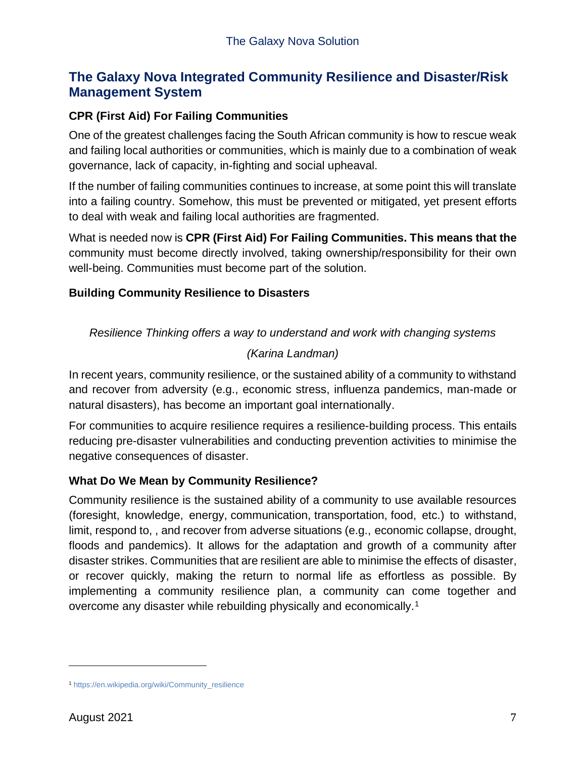# <span id="page-6-0"></span>**The Galaxy Nova Integrated Community Resilience and Disaster/Risk Management System**

# <span id="page-6-1"></span>**CPR (First Aid) For Failing Communities**

One of the greatest challenges facing the South African community is how to rescue weak and failing local authorities or communities, which is mainly due to a combination of weak governance, lack of capacity, in-fighting and social upheaval.

If the number of failing communities continues to increase, at some point this will translate into a failing country. Somehow, this must be prevented or mitigated, yet present efforts to deal with weak and failing local authorities are fragmented.

What is needed now is **CPR (First Aid) For Failing Communities. This means that the** community must become directly involved, taking ownership/responsibility for their own well-being. Communities must become part of the solution.

### <span id="page-6-2"></span>**Building Community Resilience to Disasters**

*Resilience Thinking offers a way to understand and work with changing systems*

### *(Karina Landman)*

In recent years, community resilience, or the sustained ability of a community to withstand and recover from adversity (e.g., economic stress, influenza pandemics, man-made or natural disasters), has become an important goal internationally.

For communities to acquire resilience requires a resilience-building process. This entails reducing pre-disaster vulnerabilities and conducting prevention activities to minimise the negative consequences of disaster.

### <span id="page-6-3"></span>**What Do We Mean by Community Resilience?**

Community resilience is the sustained ability of a community to use available resources (foresight, knowledge, energy, communication, transportation, food, etc.) to withstand, limit, respond to, , and recover from adverse situations (e.g., economic collapse, drought, floods and pandemics). It allows for the adaptation and growth of a community after disaster strikes. Communities that are resilient are able to minimise the effects of disaster, or recover quickly, making the return to normal life as effortless as possible. By implementing a community resilience plan, a community can come together and overcome any disaster while rebuilding physically and economically.<sup>1</sup>

<sup>1</sup> [https://en.wikipedia.org/wiki/Community\\_resilience](https://en.wikipedia.org/wiki/Community_resilience)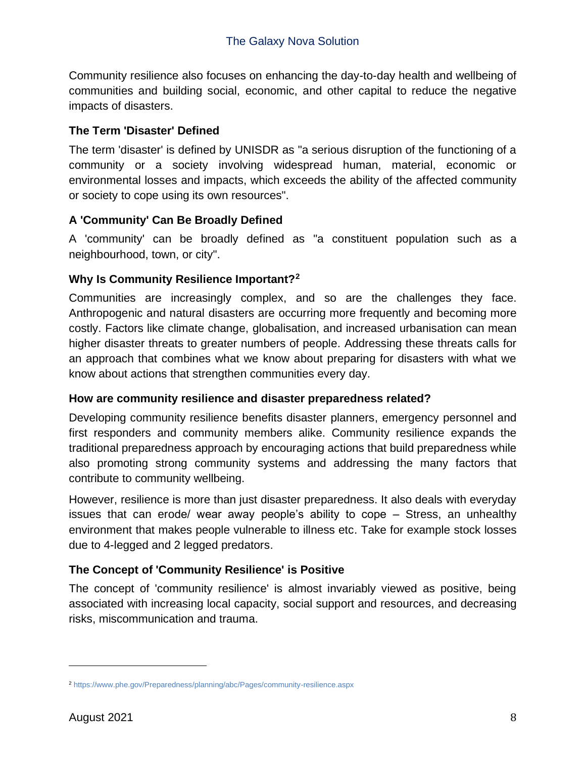Community resilience also focuses on enhancing the day-to-day health and wellbeing of communities and building social, economic, and other capital to reduce the negative impacts of disasters.

# <span id="page-7-0"></span>**The Term 'Disaster' Defined**

The term 'disaster' is defined by UNISDR as "a serious disruption of the functioning of a community or a society involving widespread human, material, economic or environmental losses and impacts, which exceeds the ability of the affected community or society to cope using its own resources".

# <span id="page-7-1"></span>**A 'Community' Can Be Broadly Defined**

A 'community' can be broadly defined as "a constituent population such as a neighbourhood, town, or city".

# <span id="page-7-2"></span>**Why Is Community Resilience Important?<sup>2</sup>**

Communities are increasingly complex, and so are the challenges they face. Anthropogenic and natural disasters are occurring more frequently and becoming more costly. Factors like climate change, globalisation, and increased urbanisation can mean higher disaster threats to greater numbers of people. Addressing these threats calls for an approach that combines what we know about preparing for disasters with what we know about actions that strengthen communities every day.

### <span id="page-7-3"></span>**How are community resilience and disaster preparedness related?**

Developing community resilience benefits disaster planners, emergency personnel and first responders and community members alike. Community resilience expands the traditional preparedness approach by encouraging actions that build preparedness while also promoting strong community systems and addressing the many factors that contribute to community wellbeing.

However, resilience is more than just disaster preparedness. It also deals with everyday issues that can erode/ wear away people's ability to cope – Stress, an unhealthy environment that makes people vulnerable to illness etc. Take for example stock losses due to 4-legged and 2 legged predators.

# <span id="page-7-4"></span>**The Concept of 'Community Resilience' is Positive**

The concept of 'community resilience' is almost invariably viewed as positive, being associated with increasing local capacity, social support and resources, and decreasing risks, miscommunication and trauma.

<sup>2</sup> <https://www.phe.gov/Preparedness/planning/abc/Pages/community-resilience.aspx>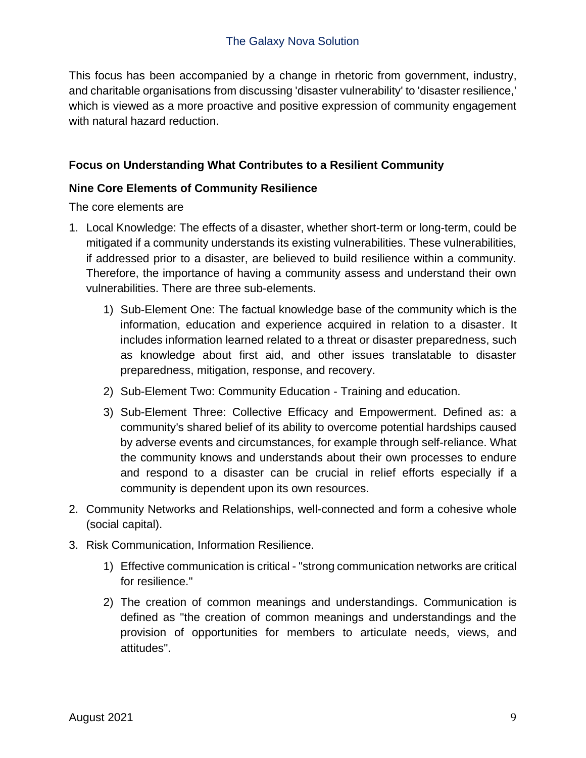This focus has been accompanied by a change in rhetoric from government, industry, and charitable organisations from discussing 'disaster vulnerability' to 'disaster resilience,' which is viewed as a more proactive and positive expression of community engagement with natural hazard reduction.

# <span id="page-8-0"></span>**Focus on Understanding What Contributes to a Resilient Community**

### <span id="page-8-1"></span>**Nine Core Elements of Community Resilience**

The core elements are

- 1. Local Knowledge: The effects of a disaster, whether short-term or long-term, could be mitigated if a community understands its existing vulnerabilities. These vulnerabilities, if addressed prior to a disaster, are believed to build resilience within a community. Therefore, the importance of having a community assess and understand their own vulnerabilities. There are three sub-elements.
	- 1) Sub-Element One: The factual knowledge base of the community which is the information, education and experience acquired in relation to a disaster. It includes information learned related to a threat or disaster preparedness, such as knowledge about first aid, and other issues translatable to disaster preparedness, mitigation, response, and recovery.
	- 2) Sub-Element Two: Community Education Training and education.
	- 3) Sub-Element Three: Collective Efficacy and Empowerment. Defined as: a community's shared belief of its ability to overcome potential hardships caused by adverse events and circumstances, for example through self-reliance. What the community knows and understands about their own processes to endure and respond to a disaster can be crucial in relief efforts especially if a community is dependent upon its own resources.
- 2. Community Networks and Relationships, well-connected and form a cohesive whole (social capital).
- 3. Risk Communication, Information Resilience.
	- 1) Effective communication is critical "strong communication networks are critical for resilience."
	- 2) The creation of common meanings and understandings. Communication is defined as "the creation of common meanings and understandings and the provision of opportunities for members to articulate needs, views, and attitudes".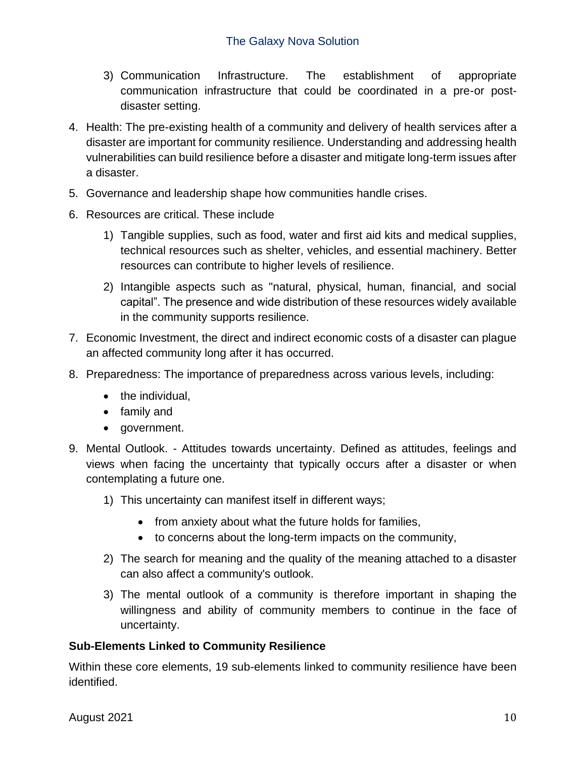- 3) Communication Infrastructure. The establishment of appropriate communication infrastructure that could be coordinated in a pre-or postdisaster setting.
- 4. Health: The pre-existing health of a community and delivery of health services after a disaster are important for community resilience. Understanding and addressing health vulnerabilities can build resilience before a disaster and mitigate long-term issues after a disaster.
- 5. Governance and leadership shape how communities handle crises.
- 6. Resources are critical. These include
	- 1) Tangible supplies, such as food, water and first aid kits and medical supplies, technical resources such as shelter, vehicles, and essential machinery. Better resources can contribute to higher levels of resilience.
	- 2) Intangible aspects such as "natural, physical, human, financial, and social capital". The presence and wide distribution of these resources widely available in the community supports resilience.
- 7. Economic Investment, the direct and indirect economic costs of a disaster can plague an affected community long after it has occurred.
- 8. Preparedness: The importance of preparedness across various levels, including:
	- the individual.
	- family and
	- government.
- 9. Mental Outlook. Attitudes towards uncertainty. Defined as attitudes, feelings and views when facing the uncertainty that typically occurs after a disaster or when contemplating a future one.
	- 1) This uncertainty can manifest itself in different ways;
		- from anxiety about what the future holds for families,
		- to concerns about the long-term impacts on the community,
	- 2) The search for meaning and the quality of the meaning attached to a disaster can also affect a community's outlook.
	- 3) The mental outlook of a community is therefore important in shaping the willingness and ability of community members to continue in the face of uncertainty.

#### <span id="page-9-0"></span>**Sub-Elements Linked to Community Resilience**

Within these core elements, 19 sub-elements linked to community resilience have been identified.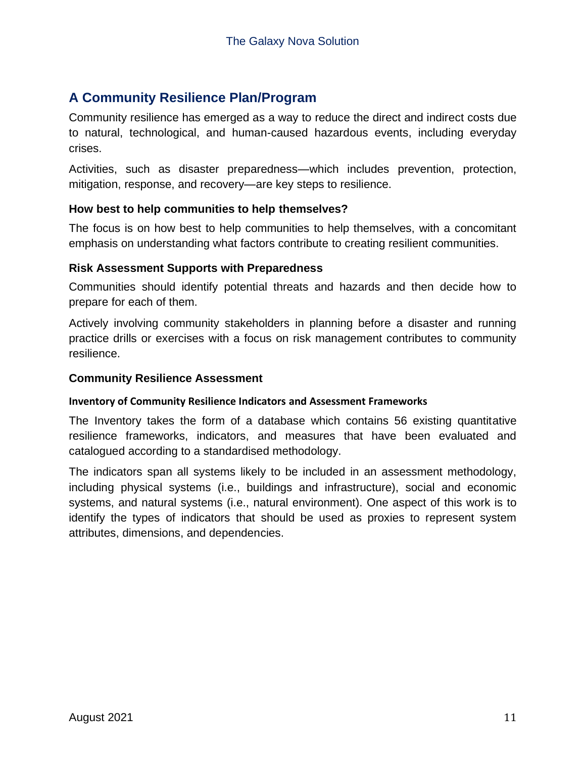# <span id="page-10-0"></span>**A Community Resilience Plan/Program**

Community resilience has emerged as a way to reduce the direct and indirect costs due to natural, technological, and human-caused hazardous events, including everyday crises.

Activities, such as disaster preparedness—which includes prevention, protection, mitigation, response, and recovery—are key steps to resilience.

#### <span id="page-10-1"></span>**How best to help communities to help themselves?**

The focus is on how best to help communities to help themselves, with a concomitant emphasis on understanding what factors contribute to creating resilient communities.

#### <span id="page-10-2"></span>**Risk Assessment Supports with Preparedness**

Communities should identify potential threats and hazards and then decide how to prepare for each of them.

Actively involving community stakeholders in planning before a disaster and running practice drills or exercises with a focus on risk management contributes to community resilience.

#### <span id="page-10-3"></span>**Community Resilience Assessment**

#### **Inventory of Community Resilience Indicators and Assessment Frameworks**

The Inventory takes the form of a database which contains 56 existing quantitative resilience frameworks, indicators, and measures that have been evaluated and catalogued according to a standardised methodology.

The indicators span all systems likely to be included in an assessment methodology, including physical systems (i.e., buildings and infrastructure), social and economic systems, and natural systems (i.e., natural environment). One aspect of this work is to identify the types of indicators that should be used as proxies to represent system attributes, dimensions, and dependencies.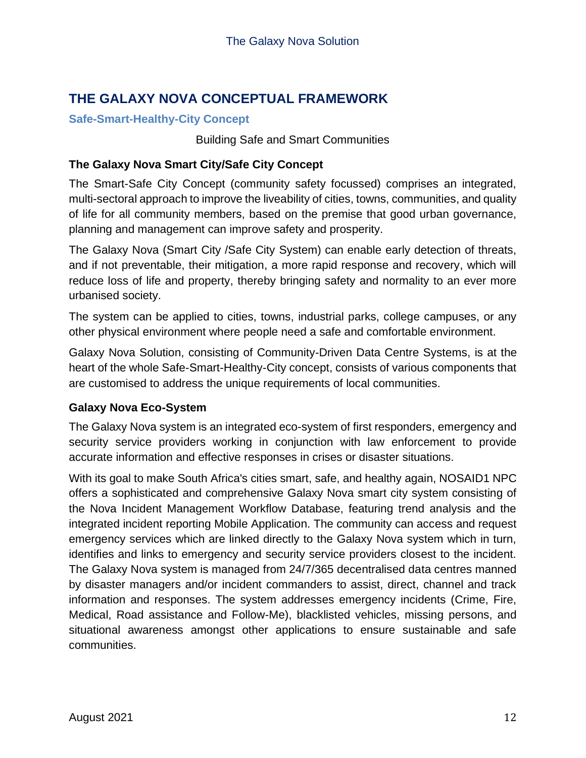# <span id="page-11-0"></span>**THE GALAXY NOVA CONCEPTUAL FRAMEWORK**

## <span id="page-11-1"></span>**Safe-Smart-Healthy-City Concept**

Building Safe and Smart Communities

## <span id="page-11-2"></span>**The Galaxy Nova Smart City/Safe City Concept**

The Smart-Safe City Concept (community safety focussed) comprises an integrated, multi-sectoral approach to improve the liveability of cities, towns, communities, and quality of life for all community members, based on the premise that good urban governance, planning and management can improve safety and prosperity.

The Galaxy Nova (Smart City /Safe City System) can enable early detection of threats, and if not preventable, their mitigation, a more rapid response and recovery, which will reduce loss of life and property, thereby bringing safety and normality to an ever more urbanised society.

The system can be applied to cities, towns, industrial parks, college campuses, or any other physical environment where people need a safe and comfortable environment.

Galaxy Nova Solution, consisting of Community-Driven Data Centre Systems, is at the heart of the whole Safe-Smart-Healthy-City concept, consists of various components that are customised to address the unique requirements of local communities.

### <span id="page-11-3"></span>**Galaxy Nova Eco-System**

The Galaxy Nova system is an integrated eco-system of first responders, emergency and security service providers working in conjunction with law enforcement to provide accurate information and effective responses in crises or disaster situations.

With its goal to make South Africa's cities smart, safe, and healthy again, NOSAID1 NPC offers a sophisticated and comprehensive Galaxy Nova smart city system consisting of the Nova Incident Management Workflow Database, featuring trend analysis and the integrated incident reporting Mobile Application. The community can access and request emergency services which are linked directly to the Galaxy Nova system which in turn, identifies and links to emergency and security service providers closest to the incident. The Galaxy Nova system is managed from 24/7/365 decentralised data centres manned by disaster managers and/or incident commanders to assist, direct, channel and track information and responses. The system addresses emergency incidents (Crime, Fire, Medical, Road assistance and Follow-Me), blacklisted vehicles, missing persons, and situational awareness amongst other applications to ensure sustainable and safe communities.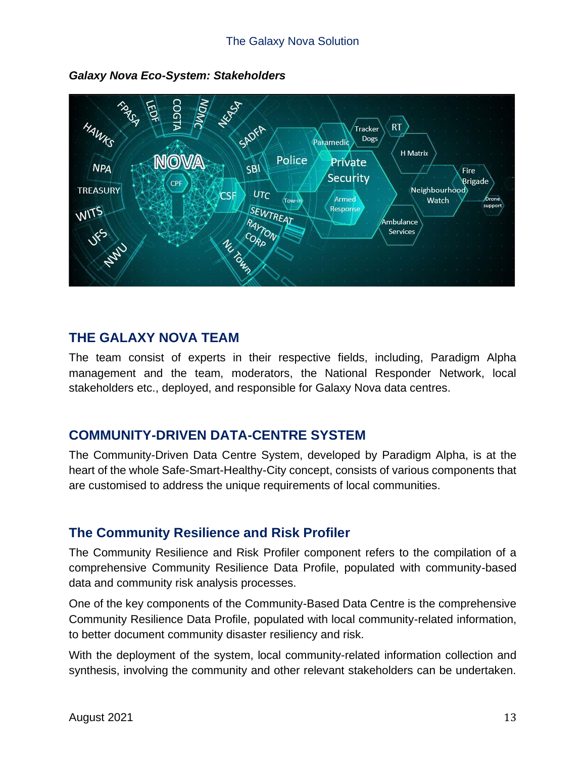

*Galaxy Nova Eco-System: Stakeholders*

# <span id="page-12-0"></span>**THE GALAXY NOVA TEAM**

The team consist of experts in their respective fields, including, Paradigm Alpha management and the team, moderators, the National Responder Network, local stakeholders etc., deployed, and responsible for Galaxy Nova data centres.

# <span id="page-12-1"></span>**COMMUNITY-DRIVEN DATA-CENTRE SYSTEM**

The Community-Driven Data Centre System, developed by Paradigm Alpha, is at the heart of the whole Safe-Smart-Healthy-City concept, consists of various components that are customised to address the unique requirements of local communities.

# <span id="page-12-2"></span>**The Community Resilience and Risk Profiler**

The Community Resilience and Risk Profiler component refers to the compilation of a comprehensive Community Resilience Data Profile, populated with community-based data and community risk analysis processes.

One of the key components of the Community-Based Data Centre is the comprehensive Community Resilience Data Profile, populated with local community-related information, to better document community disaster resiliency and risk.

With the deployment of the system, local community-related information collection and synthesis, involving the community and other relevant stakeholders can be undertaken.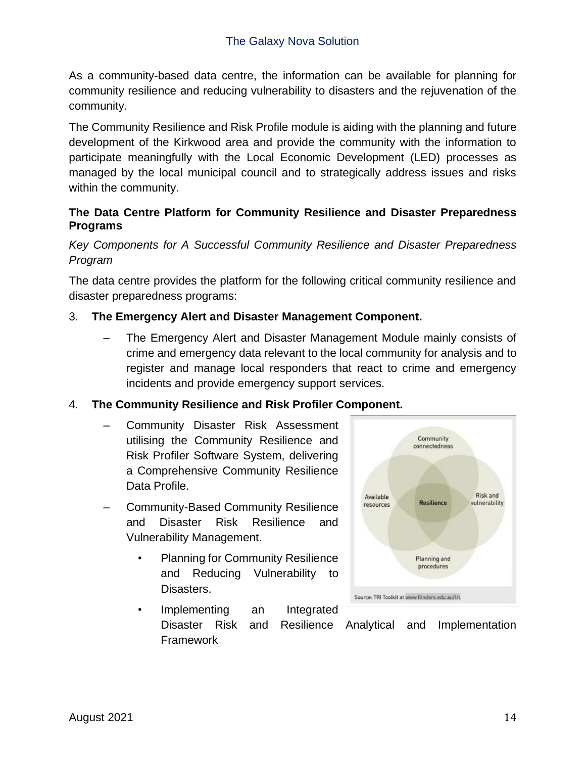As a community-based data centre, the information can be available for planning for community resilience and reducing vulnerability to disasters and the rejuvenation of the community.

The Community Resilience and Risk Profile module is aiding with the planning and future development of the Kirkwood area and provide the community with the information to participate meaningfully with the Local Economic Development (LED) processes as managed by the local municipal council and to strategically address issues and risks within the community.

# <span id="page-13-0"></span>**The Data Centre Platform for Community Resilience and Disaster Preparedness Programs**

*Key Components for A Successful Community Resilience and Disaster Preparedness Program*

The data centre provides the platform for the following critical community resilience and disaster preparedness programs:

# 3. **The Emergency Alert and Disaster Management Component.**

– The Emergency Alert and Disaster Management Module mainly consists of crime and emergency data relevant to the local community for analysis and to register and manage local responders that react to crime and emergency incidents and provide emergency support services.

### 4. **The Community Resilience and Risk Profiler Component.**

- Community Disaster Risk Assessment utilising the Community Resilience and Risk Profiler Software System, delivering a Comprehensive Community Resilience Data Profile.
- Community-Based Community Resilience and Disaster Risk Resilience and Vulnerability Management.
	- Planning for Community Resilience and Reducing Vulnerability to Disasters.



Implementing an Integrated Disaster Risk and Resilience Analytical and Implementation Framework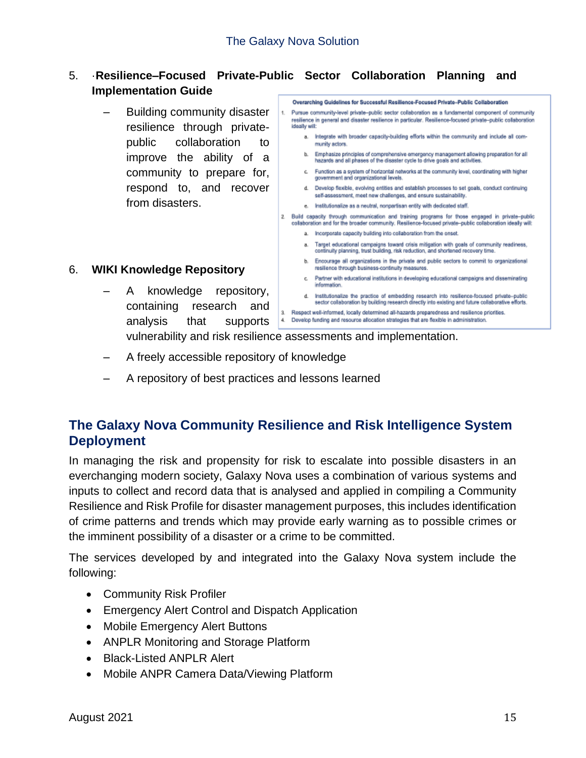#### 5. ·**Resilience–Focused Private-Public Sector Collaboration Planning and Implementation Guide** Overarching Guidelines for Successful Resilience-Focused Private-Public Collaboration

– Building community disaster resilience through privatepublic collaboration to improve the ability of a community to prepare for, respond to, and recover from disasters.

#### 6. **WIKI Knowledge Repository**

– A knowledge repository, containing research and analysis that supports

Pursue community-level private-public sector collaboration as a fundamental component of community 1. resilience in general and disaster resilience in particular. Resilience-focused private-public collaboration ideally will: a. Integrate with broader capacity-building efforts within the community and include all community actors. b. Emphasize principles of comprehensive emergency management allowing preparation for all hazards and all phases of the disaster cycle to drive goals and activities c. Function as a system of horizontal networks at the community level, coordinating with higher government and organizational levels. d. Develop flexible, evolving entities and establish processes to set goals, conduct continuing self-assessment, meet new challenges, and ensure sustainability. e. Institutionalize as a neutral, nonpartisan entity with dedicated staff. 2. Build capacity through communication and training programs for those engaged in private-public colaboration and for the broader community. Resilience-focused private-public collaboration ideally will: a. Incorporate capacity building into collaboration from the onset. a. Target educational campaigns toward crisis mitigation with goals of community readiness, continuity planning, trust building, risk reduction, and shortened recovery time. b. Encourage all organizations in the private and public sectors to commit to organizational resilience through business-continuity measures. c. Partner with educational institutions in developing educational campaigns and disseminating information d. Institutionalize the practice of embedding research into resilience-focused private-public sector collaboration by building research directly into existing and future collaborative efforts. 3. Respect well-informed, locally determined all-hazards preparedness and resilience priorities. 4. Develop funding and resource allocation strategies that are flexible in administration.

vulnerability and risk resilience assessments and implementation.

- A freely accessible repository of knowledge
- A repository of best practices and lessons learned

# <span id="page-14-0"></span>**The Galaxy Nova Community Resilience and Risk Intelligence System Deployment**

In managing the risk and propensity for risk to escalate into possible disasters in an everchanging modern society, Galaxy Nova uses a combination of various systems and inputs to collect and record data that is analysed and applied in compiling a Community Resilience and Risk Profile for disaster management purposes, this includes identification of crime patterns and trends which may provide early warning as to possible crimes or the imminent possibility of a disaster or a crime to be committed.

The services developed by and integrated into the Galaxy Nova system include the following:

- Community Risk Profiler
- Emergency Alert Control and Dispatch Application
- Mobile Emergency Alert Buttons
- ANPLR Monitoring and Storage Platform
- Black-Listed ANPLR Alert
- Mobile ANPR Camera Data/Viewing Platform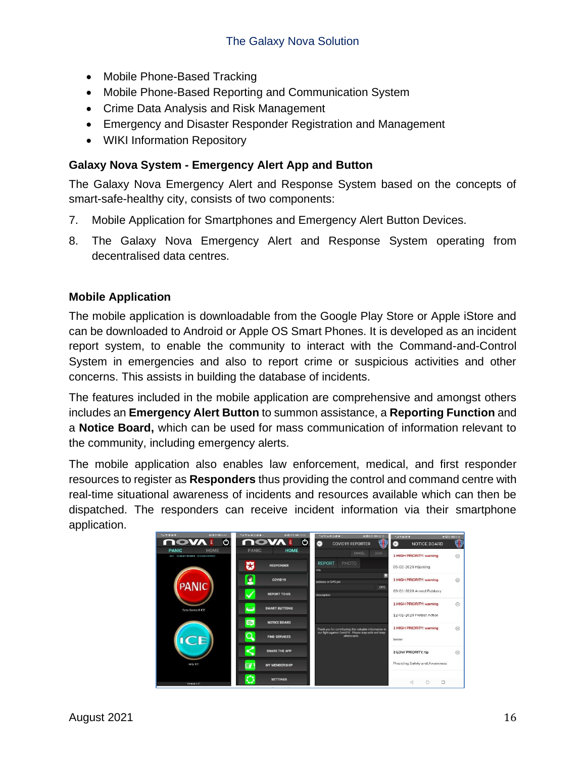- Mobile Phone-Based Tracking
- Mobile Phone-Based Reporting and Communication System
- Crime Data Analysis and Risk Management
- Emergency and Disaster Responder Registration and Management
- WIKI Information Repository

### <span id="page-15-0"></span>**Galaxy Nova System - Emergency Alert App and Button**

The Galaxy Nova Emergency Alert and Response System based on the concepts of smart-safe-healthy city, consists of two components:

- 7. Mobile Application for Smartphones and Emergency Alert Button Devices.
- 8. The Galaxy Nova Emergency Alert and Response System operating from decentralised data centres.

#### <span id="page-15-1"></span>**Mobile Application**

The mobile application is downloadable from the Google Play Store or Apple iStore and can be downloaded to Android or Apple OS Smart Phones. It is developed as an incident report system, to enable the community to interact with the Command-and-Control System in emergencies and also to report crime or suspicious activities and other concerns. This assists in building the database of incidents.

The features included in the mobile application are comprehensive and amongst others includes an **Emergency Alert Button** to summon assistance, a **Reporting Function** and a **Notice Board,** which can be used for mass communication of information relevant to the community, including emergency alerts.

The mobile application also enables law enforcement, medical, and first responder resources to register as **Responders** thus providing the control and command centre with real-time situational awareness of incidents and resources available which can then be dispatched. The responders can receive incident information via their smartphone application.

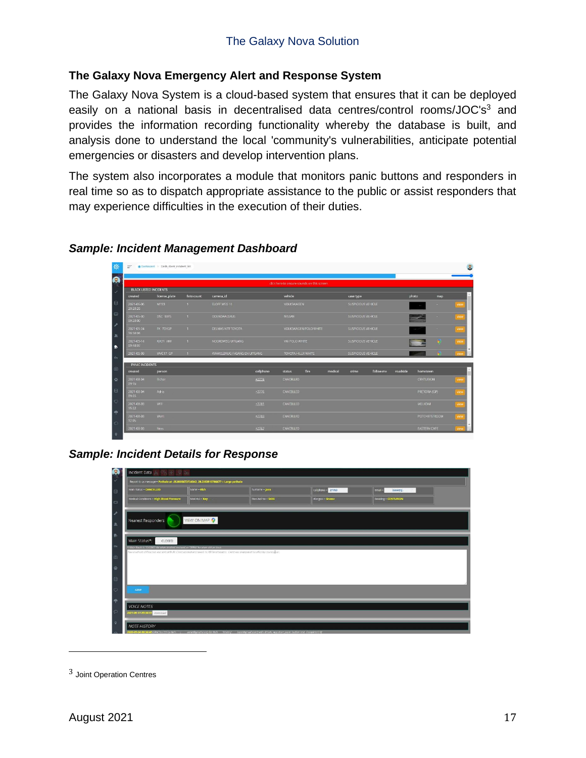### <span id="page-16-0"></span>**The Galaxy Nova Emergency Alert and Response System**

The Galaxy Nova System is a cloud-based system that ensures that it can be deployed easily on a national basis in decentralised data centres/control rooms/JOC's<sup>3</sup> and provides the information recording functionality whereby the database is built, and analysis done to understand the local 'community's vulnerabilities, anticipate potential emergencies or disasters and develop intervention plans.

The system also incorporates a module that monitors panic buttons and responders in real time so as to dispatch appropriate assistance to the public or assist responders that may experience difficulties in the execution of their duties.

| $=$                           | a Dashboard > Dash client incident list |                                    |                              |           |                                            |                       |         |                    |                    |          |                      |     |           |  |
|-------------------------------|-----------------------------------------|------------------------------------|------------------------------|-----------|--------------------------------------------|-----------------------|---------|--------------------|--------------------|----------|----------------------|-----|-----------|--|
|                               |                                         |                                    |                              |           | click here to ensure sounds on this screen |                       |         |                    |                    |          |                      |     |           |  |
| <b>BLACK LISTED INCIDENTS</b> |                                         |                                    |                              |           |                                            |                       |         |                    |                    |          |                      |     |           |  |
| created                       | license_plate                           | vehicle<br>foto count<br>camera_id |                              |           |                                            | case type             |         |                    | photo<br>map       |          |                      |     |           |  |
| 2021-06-06<br>20:20:26        | M193                                    |                                    | ELOFF WEG 11                 |           | VOLKSWAGEN                                 |                       |         | SUSPICIOUS VEHICLE |                    |          | ٠                    |     | view      |  |
| 2021-05-30<br>09:20:00        | DSC 03FS                                |                                    | ODENDAALSRUS                 |           | NISSAN                                     |                       |         |                    | SUSPICIOUS VEHICLE |          |                      | 18  | view      |  |
| 2021-05-24<br>18:50:04        | FK 7DYGP                                |                                    | DELMAS NTT TOYOTA            |           |                                            | VOLKSWAGEN POLO WHITE |         | SUSPICIOUS VEHICLE |                    |          |                      |     | view      |  |
| 2021-05-14<br>09:48:07        | KIK71 NW                                | $\rightarrow$                      | NOORDWEG UITGANG             |           |                                            | WW POLO WHITE         |         |                    | SUSPICIOUS VEHICLE |          |                      |     | view      |  |
| 2021-05-09                    | WVC17 GP                                |                                    | WAWIELBRUG INGANG EN UITGANG |           | TOYOTA HILUX WHITE                         |                       |         | SUSPICIOUS VEHICLE |                    |          |                      | - 6 | view      |  |
| <b>PANIC INCIDENTS</b>        |                                         |                                    |                              |           |                                            |                       |         |                    |                    |          |                      |     |           |  |
| created                       | person                                  |                                    |                              | cellphone | <b>status</b>                              | fire                  | medical | crime              | follow me          | roadside | hometown             |     |           |  |
| 2021-08-04<br>09:10           | Richar                                  |                                    |                              | $+2776$   | CANCELLED                                  |                       |         |                    |                    |          | <b>CENTURION</b>     |     | view      |  |
| 2021-08-04<br>09:05           | Adria                                   |                                    |                              | $+2776$   | CANCELLED                                  |                       |         |                    |                    |          | PRETORIA (GP)        |     | -<br>view |  |
| 2021-08-03<br>15:22           | Will                                    |                                    |                              | +2781     | CANCELLED                                  |                       |         |                    |                    |          | WELKOM               |     | view      |  |
| 2021-08-03<br>12:05           | Wern.                                   |                                    |                              | $+2783$   | CANCELLED                                  |                       |         |                    |                    |          | <b>POTCHEFSTROOM</b> |     | view      |  |
| 2021-08-03                    | Nee                                     |                                    |                              | $+2767$   | CANCELLED                                  |                       |         |                    |                    |          | EASTERN CAPE         |     | view      |  |

#### *Sample: Incident Management Dashboard*

*Sample: Incident Details for Response*



<sup>3</sup> Joint Operation Centres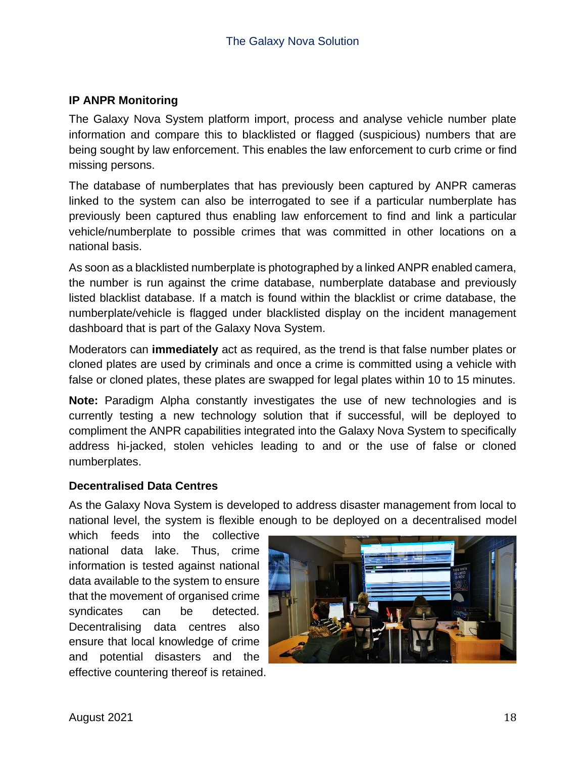### <span id="page-17-0"></span>**IP ANPR Monitoring**

The Galaxy Nova System platform import, process and analyse vehicle number plate information and compare this to blacklisted or flagged (suspicious) numbers that are being sought by law enforcement. This enables the law enforcement to curb crime or find missing persons.

The database of numberplates that has previously been captured by ANPR cameras linked to the system can also be interrogated to see if a particular numberplate has previously been captured thus enabling law enforcement to find and link a particular vehicle/numberplate to possible crimes that was committed in other locations on a national basis.

As soon as a blacklisted numberplate is photographed by a linked ANPR enabled camera, the number is run against the crime database, numberplate database and previously listed blacklist database. If a match is found within the blacklist or crime database, the numberplate/vehicle is flagged under blacklisted display on the incident management dashboard that is part of the Galaxy Nova System.

Moderators can **immediately** act as required, as the trend is that false number plates or cloned plates are used by criminals and once a crime is committed using a vehicle with false or cloned plates, these plates are swapped for legal plates within 10 to 15 minutes.

**Note:** Paradigm Alpha constantly investigates the use of new technologies and is currently testing a new technology solution that if successful, will be deployed to compliment the ANPR capabilities integrated into the Galaxy Nova System to specifically address hi-jacked, stolen vehicles leading to and or the use of false or cloned numberplates.

#### <span id="page-17-1"></span>**Decentralised Data Centres**

As the Galaxy Nova System is developed to address disaster management from local to national level, the system is flexible enough to be deployed on a decentralised model

which feeds into the collective national data lake. Thus, crime information is tested against national data available to the system to ensure that the movement of organised crime syndicates can be detected. Decentralising data centres also ensure that local knowledge of crime and potential disasters and the effective countering thereof is retained.